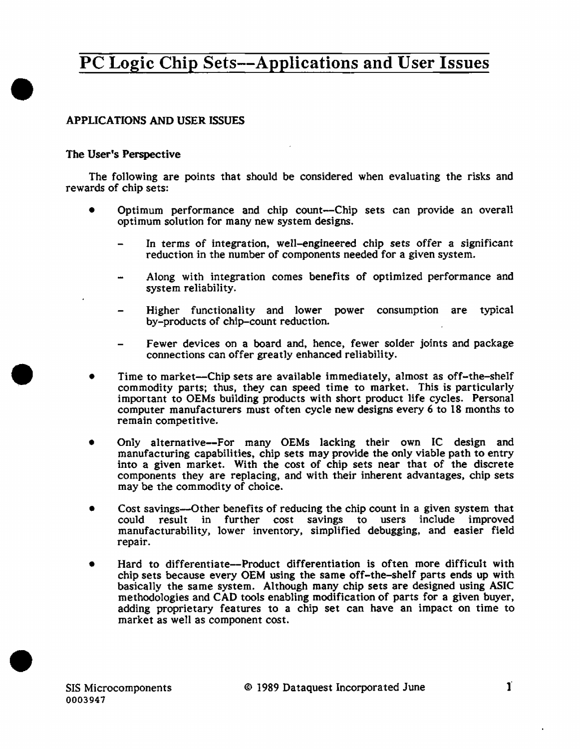# PC Logic Chip Sets--Applications and User Issues

### APPLICATIONS AND USER ISSUES

#### The User's Perspective

•

•

•

The following are points that should be considered when evaluating the risks and rewards of chip sets:

- Optimum performance and chip count-Chip sets can provide an overall optimum solution for many new system designs.
	- In terms of integration, well-engineered chip sets offer a significant reduction in the number of components needed for a given system.
	- Along with integration comes benefits of optimized performance and system reliability.
	- Higher functionality and lower power consumption are typical by-products of chip-count reduction.
	- Fewer devices on a board and, hence, fewer solder joints and package connections can offer greatly enhanced reliability.
- Time to market-Chip sets are available immediately, almost as off-the-shelf commodity parts; thus, they can speed time to market. This is particularly important to OEMs building products with short product life cycles. Personal computer manufacturers must often cycle new designs every 6 to 18 months to remain competitive.
- Only alternative-For many OEMs lacking their own IC design and manufacturing capabilities, chip sets may provide the only viable path to entry into a given market. With the cost of chip sets near that of the discrete components they are replacing, and with their inherent advantages, chip sets may be the commodity of choice.
- Cost savings—Other benefits of reducing the chip count in a given system that could result in further cost savings to users include improved manufacturability, lower inventory, simplified debugging, and easier field repair.
- Hard to differentiate-Product differentiation is often more difficult with chip sets because every OEM using the same off-the-shelf parts ends up with basically the same system. Although many chip sets are designed using ASIC methodologies and CAD tools enabling modification of parts for a given buyer, adding proprietary features to a chip set can have an impact on time to market as well as component cost.